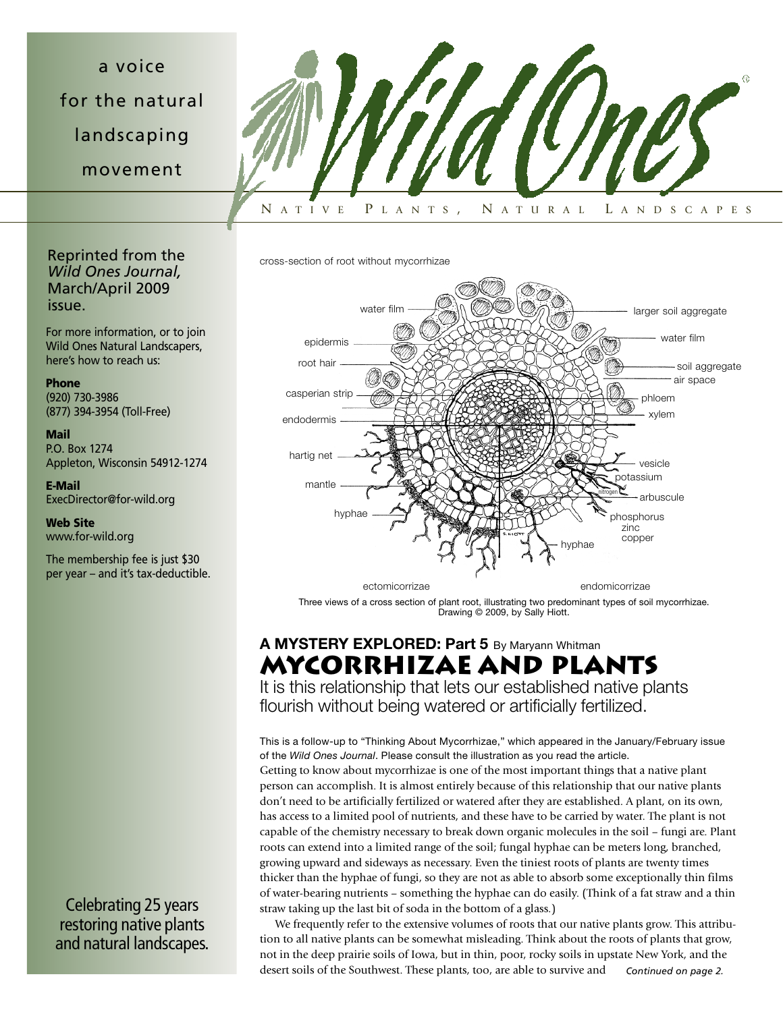a voice for the natural landscaping movement



cross-section of root without mycorrhizae



Three views of a cross section of plant root, illustrating two predominant types of soil mycorrhizae. Drawing © 2009, by Sally Hiott.

# **A MYSTERY EXPLORED: Part 5** By Maryann Whitman **MYCORRHIZAE AND PLANTS**

It is this relationship that lets our established native plants flourish without being watered or artificially fertilized.

This is a follow-up to "Thinking About Mycorrhizae," which appeared in the January/February issue of the *Wild Ones Journal*. Please consult the illustration as you read the article. Getting to know about mycorrhizae is one of the most important things that a native plant person can accomplish. It is almost entirely because of this relationship that our native plants don't need to be artificially fertilized or watered after they are established. A plant, on its own, has access to a limited pool of nutrients, and these have to be carried by water. The plant is not capable of the chemistry necessary to break down organic molecules in the soil – fungi are. Plant roots can extend into a limited range of the soil; fungal hyphae can be meters long, branched, growing upward and sideways as necessary. Even the tiniest roots of plants are twenty times thicker than the hyphae of fungi, so they are not as able to absorb some exceptionally thin films of water-bearing nutrients – something the hyphae can do easily. (Think of a fat straw and a thin straw taking up the last bit of soda in the bottom of a glass.)

We frequently refer to the extensive volumes of roots that our native plants grow. This attribution to all native plants can be somewhat misleading. Think about the roots of plants that grow, not in the deep prairie soils of Iowa, but in thin, poor, rocky soils in upstate New York, and the desert soils of the Southwest. These plants, too, are able to survive and *Continued on page 2.*

Reprinted from the *Wild Ones Journal,* March/April 2009 issue.

For more information, or to join Wild Ones Natural Landscapers, here's how to reach us:

**Phone** (920) 730-3986 (877) 394-3954 (Toll-Free)

**Mail** P.O. Box 1274 Appleton, Wisconsin 54912-1274

**E-Mail** ExecDirector@for-wild.org

**Web Site** www.for-wild.org

The membership fee is just \$30 per year – and it's tax-deductible.

Celebrating 25 years restoring native plants and natural landscapes.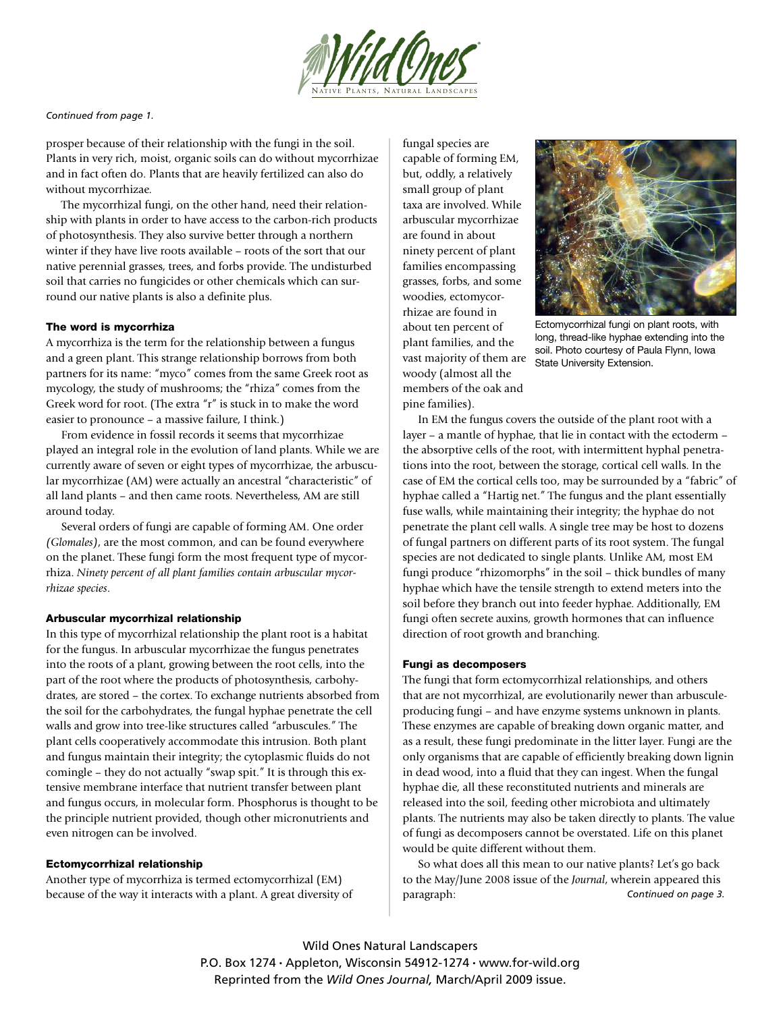

*Continued from page 1.*

prosper because of their relationship with the fungi in the soil. Plants in very rich, moist, organic soils can do without mycorrhizae and in fact often do. Plants that are heavily fertilized can also do without mycorrhizae.

The mycorrhizal fungi, on the other hand, need their relationship with plants in order to have access to the carbon-rich products of photosynthesis. They also survive better through a northern winter if they have live roots available – roots of the sort that our native perennial grasses, trees, and forbs provide. The undisturbed soil that carries no fungicides or other chemicals which can surround our native plants is also a definite plus.

#### **The word is mycorrhiza**

A mycorrhiza is the term for the relationship between a fungus and a green plant. This strange relationship borrows from both partners for its name: "myco" comes from the same Greek root as mycology, the study of mushrooms; the "rhiza" comes from the Greek word for root. (The extra "r" is stuck in to make the word easier to pronounce – a massive failure, I think.)

From evidence in fossil records it seems that mycorrhizae played an integral role in the evolution of land plants. While we are currently aware of seven or eight types of mycorrhizae, the arbuscular mycorrhizae (AM) were actually an ancestral "characteristic" of all land plants – and then came roots. Nevertheless, AM are still around today.

Several orders of fungi are capable of forming AM. One order *(Glomales)*, are the most common, and can be found everywhere on the planet. These fungi form the most frequent type of mycorrhiza. *Ninety percent of all plant families contain arbuscular mycorrhizae species*.

#### **Arbuscular mycorrhizal relationship**

In this type of mycorrhizal relationship the plant root is a habitat for the fungus. In arbuscular mycorrhizae the fungus penetrates into the roots of a plant, growing between the root cells, into the part of the root where the products of photosynthesis, carbohydrates, are stored – the cortex. To exchange nutrients absorbed from the soil for the carbohydrates, the fungal hyphae penetrate the cell walls and grow into tree-like structures called "arbuscules." The plant cells cooperatively accommodate this intrusion. Both plant and fungus maintain their integrity; the cytoplasmic fluids do not comingle – they do not actually "swap spit." It is through this extensive membrane interface that nutrient transfer between plant and fungus occurs, in molecular form. Phosphorus is thought to be the principle nutrient provided, though other micronutrients and even nitrogen can be involved.

## **Ectomycorrhizal relationship**

Another type of mycorrhiza is termed ectomycorrhizal (EM) because of the way it interacts with a plant. A great diversity of

fungal species are capable of forming EM, but, oddly, a relatively small group of plant taxa are involved. While arbuscular mycorrhizae are found in about ninety percent of plant families encompassing grasses, forbs, and some woodies, ectomycorrhizae are found in about ten percent of plant families, and the vast majority of them are woody (almost all the members of the oak and pine families).



Ectomycorrhizal fungi on plant roots, with long, thread-like hyphae extending into the soil. Photo courtesy of Paula Flynn, Iowa State University Extension.

In EM the fungus covers the outside of the plant root with a layer – a mantle of hyphae, that lie in contact with the ectoderm – the absorptive cells of the root, with intermittent hyphal penetrations into the root, between the storage, cortical cell walls. In the case of EM the cortical cells too, may be surrounded by a "fabric" of hyphae called a "Hartig net." The fungus and the plant essentially fuse walls, while maintaining their integrity; the hyphae do not penetrate the plant cell walls. A single tree may be host to dozens of fungal partners on different parts of its root system. The fungal species are not dedicated to single plants. Unlike AM, most EM fungi produce "rhizomorphs" in the soil – thick bundles of many hyphae which have the tensile strength to extend meters into the soil before they branch out into feeder hyphae. Additionally, EM fungi often secrete auxins, growth hormones that can influence direction of root growth and branching.

### **Fungi as decomposers**

The fungi that form ectomycorrhizal relationships, and others that are not mycorrhizal, are evolutionarily newer than arbusculeproducing fungi – and have enzyme systems unknown in plants. These enzymes are capable of breaking down organic matter, and as a result, these fungi predominate in the litter layer. Fungi are the only organisms that are capable of efficiently breaking down lignin in dead wood, into a fluid that they can ingest. When the fungal hyphae die, all these reconstituted nutrients and minerals are released into the soil, feeding other microbiota and ultimately plants. The nutrients may also be taken directly to plants. The value of fungi as decomposers cannot be overstated. Life on this planet would be quite different without them.

So what does all this mean to our native plants? Let's go back to the May/June 2008 issue of the *Journal*, wherein appeared this paragraph: *Continued on page 3.*

Wild Ones Natural Landscapers P.O. Box 1274 • Appleton, Wisconsin 54912-1274 • www.for-wild.org Reprinted from the *Wild Ones Journal,* March/April 2009 issue.